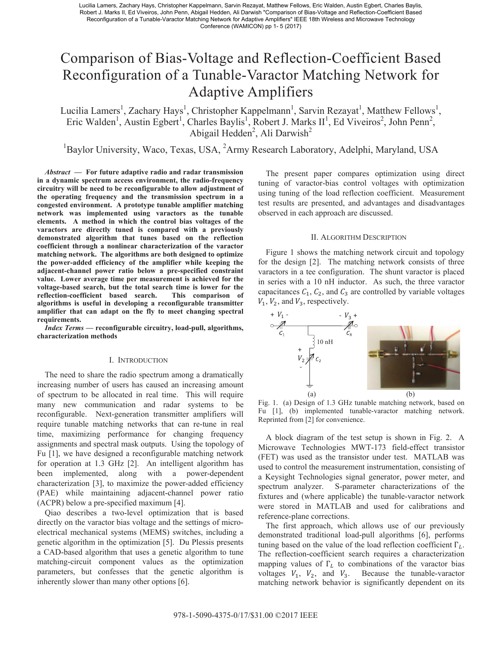# Comparison of Bias-Voltage and Reflection-Coefficient Based Reconfiguration of a Tunable-Varactor Matching Network for Adaptive Amplifiers

Lucilia Lamers<sup>1</sup>, Zachary Hays<sup>1</sup>, Christopher Kappelmann<sup>1</sup>, Sarvin Rezayat<sup>1</sup>, Matthew Fellows<sup>1</sup>, Eric Walden<sup>1</sup>, Austin Egbert<sup>1</sup>, Charles Baylis<sup>1</sup>, Robert J. Marks II<sup>1</sup>, Ed Viveiros<sup>2</sup>, John Penn<sup>2</sup>, Abigail Hedden<sup>2</sup>, Ali Darwish<sup>2</sup>

<sup>1</sup>Baylor University, Waco, Texas, USA, <sup>2</sup>Army Research Laboratory, Adelphi, Maryland, USA

*Abstract* **— For future adaptive radio and radar transmission in a dynamic spectrum access environment, the radio-frequency circuitry will be need to be reconfigurable to allow adjustment of the operating frequency and the transmission spectrum in a congested environment. A prototype tunable amplifier matching network was implemented using varactors as the tunable elements. A method in which the control bias voltages of the varactors are directly tuned is compared with a previously demonstrated algorithm that tunes based on the reflection coefficient through a nonlinear characterization of the varactor matching network. The algorithms are both designed to optimize the power-added efficiency of the amplifier while keeping the adjacent-channel power ratio below a pre-specified constraint value. Lower average time per measurement is achieved for the voltage-based search, but the total search time is lower for the reflection-coefficient based search. This comparison of algorithms is useful in developing a reconfigurable transmitter amplifier that can adapt on the fly to meet changing spectral requirements.** 

*Index Terms* **— reconfigurable circuitry, load-pull, algorithms, characterization methods** 

# I. INTRODUCTION

The need to share the radio spectrum among a dramatically increasing number of users has caused an increasing amount of spectrum to be allocated in real time. This will require many new communication and radar systems to be reconfigurable. Next-generation transmitter amplifiers will require tunable matching networks that can re-tune in real time, maximizing performance for changing frequency assignments and spectral mask outputs. Using the topology of Fu [1], we have designed a reconfigurable matching network for operation at 1.3 GHz [2]. An intelligent algorithm has been implemented, along with a power-dependent characterization [3], to maximize the power-added efficiency (PAE) while maintaining adjacent-channel power ratio (ACPR) below a pre-specified maximum [4].

Qiao describes a two-level optimization that is based directly on the varactor bias voltage and the settings of microelectrical mechanical systems (MEMS) switches, including a genetic algorithm in the optimization [5]. Du Plessis presents a CAD-based algorithm that uses a genetic algorithm to tune matching-circuit component values as the optimization parameters, but confesses that the genetic algorithm is inherently slower than many other options [6].

The present paper compares optimization using direct tuning of varactor-bias control voltages with optimization using tuning of the load reflection coefficient. Measurement test results are presented, and advantages and disadvantages observed in each approach are discussed.

#### II. ALGORITHM DESCRIPTION

Figure 1 shows the matching network circuit and topology for the design [2]. The matching network consists of three varactors in a tee configuration. The shunt varactor is placed in series with a 10 nH inductor. As such, the three varactor capacitances  $C_1$ ,  $C_2$ , and  $C_3$  are controlled by variable voltages  $V_1$ ,  $V_2$ , and  $V_3$ , respectively.



Fig. 1. (a) Design of 1.3 GHz tunable matching network, based on Fu [1], (b) implemented tunable-varactor matching network. Reprinted from [2] for convenience.

A block diagram of the test setup is shown in Fig. 2. A Microwave Technologies MWT-173 field-effect transistor (FET) was used as the transistor under test. MATLAB was used to control the measurement instrumentation, consisting of a Keysight Technologies signal generator, power meter, and spectrum analyzer. S-parameter characterizations of the fixtures and (where applicable) the tunable-varactor network were stored in MATLAB and used for calibrations and reference-plane corrections.

The first approach, which allows use of our previously demonstrated traditional load-pull algorithms [6], performs tuning based on the value of the load reflection coefficient  $\Gamma_L$ . The reflection-coefficient search requires a characterization mapping values of  $\Gamma$ <sup>t</sup> to combinations of the varactor bias voltages  $V_1$ ,  $V_2$ , and  $V_3$ . Because the tunable-varactor matching network behavior is significantly dependent on its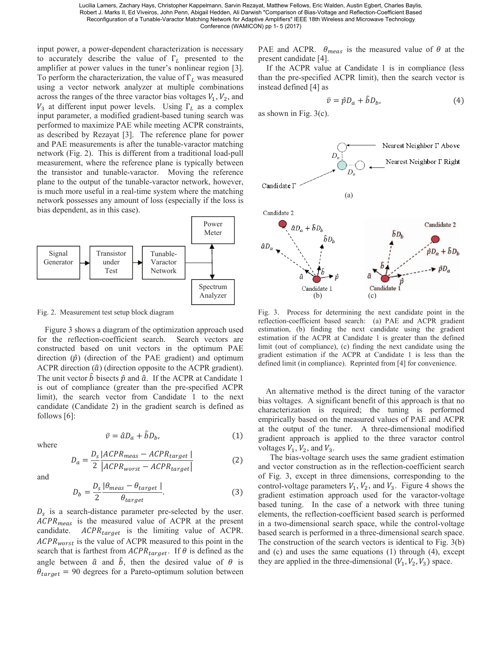input power, a power-dependent characterization is necessary to accurately describe the value of  $\Gamma_L$  presented to the amplifier at power values in the tuner's nonlinear region [3]. To perform the characterization, the value of  $\Gamma_L$  was measured using a vector network analyzer at multiple combinations across the ranges of the three varactor bias voltages  $V_1$ ,  $V_2$ , and  $V_3$  at different input power levels. Using  $\Gamma_L$  as a complex input parameter, a modified gradient-based tuning search was performed to maximize PAE while meeting ACPR constraints, as described by Rezayat [3]. The reference plane for power and PAE measurements is after the tunable-varactor matching network (Fig. 2). This is different from a traditional load-pull measurement, where the reference plane is typically between the transistor and tunable-varactor. Moving the reference plane to the output of the tunable-varactor network, however, is much more useful in a real-time system where the matching network possesses any amount of loss (especially if the loss is bias dependent, as in this case).



Fig. 2. Measurement test setup block diagram

Figure 3 shows a diagram of the optimization approach used for the reflection-coefficient search. Search vectors are constructed based on unit vectors in the optimum PAE direction  $(\hat{p})$  (direction of the PAE gradient) and optimum ACPR direction  $(\hat{a})$  (direction opposite to the ACPR gradient). The unit vector  $\hat{b}$  bisects  $\hat{p}$  and  $\hat{a}$ . If the ACPR at Candidate 1 is out of compliance (greater than the pre-specified ACPR limit), the search vector from Candidate 1 to the next candidate (Candidate 2) in the gradient search is defined as follows  $[6]$ :

$$
\bar{v} = \hat{a}D_a + \hat{b}D_b,\tag{1}
$$

where

$$
D_a = \frac{D_s}{2} \frac{|ACPR_{meas} - ACPR_{target}|}{|ACPR_{worst} - ACPR_{target}|}
$$
(2)

and

$$
D_b = \frac{D_s}{2} \frac{|\theta_{meas} - \theta_{target}|}{\theta_{target}}.
$$
 (3)

 $D_s$  is a search-distance parameter pre-selected by the user.  $ACPR_{meas}$  is the measured value of ACPR at the present candidate.  $ACPR_{target}$  is the limiting value of ACPR.  $ACPR_{worst}$  is the value of ACPR measured to this point in the search that is farthest from  $ACPR_{target}$ . If  $\theta$  is defined as the angle between  $\hat{a}$  and  $\hat{b}$ , then the desired value of  $\theta$  is  $\theta_{target}$  = 90 degrees for a Pareto-optimum solution between PAE and ACPR.  $\theta_{meas}$  is the measured value of  $\theta$  at the present candidate [4].

If the ACPR value at Candidate 1 is in compliance (less than the pre-specified ACPR limit), then the search vector is instead defined [4] as

$$
\bar{v} = \hat{p}D_a + \hat{b}D_b,\tag{4}
$$

as shown in Fig. 3(c).



Fig. 3. Process for determining the next candidate point in the reflection-coefficient based search: (a) PAE and ACPR gradient estimation, (b) finding the next candidate using the gradient estimation if the ACPR at Candidate 1 is greater than the defined limit (out of compliance), (c) finding the next candidate using the gradient estimation if the ACPR at Candidate 1 is less than the defined limit (in compliance). Reprinted from [4] for convenience.

An alternative method is the direct tuning of the varactor bias voltages. A significant benefit of this approach is that no characterization is required; the tuning is performed empirically based on the measured values of PAE and ACPR at the output of the tuner. A three-dimensional modified gradient approach is applied to the three varactor control voltages  $V_1$ ,  $V_2$ , and  $V_3$ .

The bias-voltage search uses the same gradient estimation and vector construction as in the reflection-coefficient search of Fig. 3, except in three dimensions, corresponding to the control-voltage parameters  $V_1$ ,  $V_2$ , and  $V_3$ . Figure 4 shows the gradient estimation approach used for the varactor-voltage based tuning. In the case of a network with three tuning elements, the reflection-coefficient based search is performed in a two-dimensional search space, while the control-voltage based search is performed in a three-dimensional search space. The construction of the search vectors is identical to Fig. 3(b) and (c) and uses the same equations (1) through (4), except they are applied in the three-dimensional  $(V_1, V_2, V_3)$  space.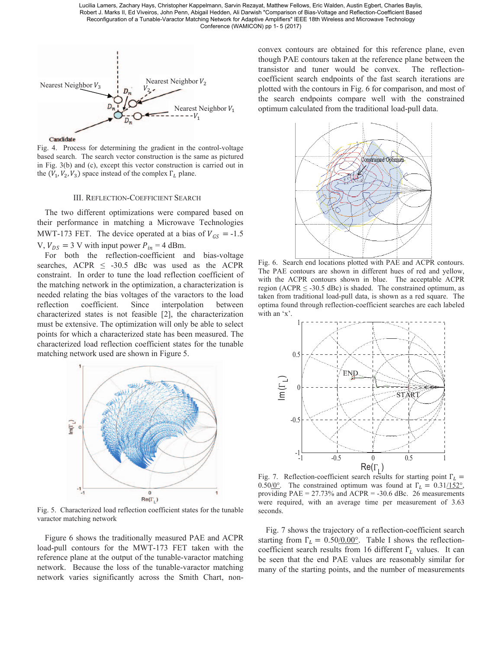

Fig. 4. Process for determining the gradient in the control-voltage based search. The search vector construction is the same as pictured in Fig. 3(b) and (c), except this vector construction is carried out in the  $(V_1, V_2, V_3)$  space instead of the complex  $\Gamma_L$  plane.

#### III. REFLECTION-COEFFICIENT SEARCH

The two different optimizations were compared based on their performance in matching a Microwave Technologies MWT-173 FET. The device operated at a bias of  $V_{GS} = -1.5$ V,  $V_{DS} = 3$  V with input power  $P_{in} = 4$  dBm.

For both the reflection-coefficient and bias-voltage searches, ACPR  $\leq$  -30.5 dBc was used as the ACPR constraint. In order to tune the load reflection coefficient of the matching network in the optimization, a characterization is needed relating the bias voltages of the varactors to the load reflection coefficient. Since interpolation between characterized states is not feasible [2], the characterization must be extensive. The optimization will only be able to select points for which a characterized state has been measured. The characterized load reflection coefficient states for the tunable matching network used are shown in Figure 5.



Fig. 5. Characterized load reflection coefficient states for the tunable varactor matching network

Figure 6 shows the traditionally measured PAE and ACPR load-pull contours for the MWT-173 FET taken with the reference plane at the output of the tunable-varactor matching network. Because the loss of the tunable-varactor matching network varies significantly across the Smith Chart, nonconvex contours are obtained for this reference plane, even though PAE contours taken at the reference plane between the transistor and tuner would be convex. The reflectioncoefficient search endpoints of the fast search iterations are plotted with the contours in Fig. 6 for comparison, and most of the search endpoints compare well with the constrained optimum calculated from the traditional load-pull data.



Fig. 6. Search end locations plotted with PAE and ACPR contours. The PAE contours are shown in different hues of red and yellow, with the ACPR contours shown in blue. The acceptable ACPR region (ACPR  $\leq$  -30.5 dBc) is shaded. The constrained optimum, as taken from traditional load-pull data, is shown as a red square. The optima found through reflection-coefficient searches are each labeled with an 'x'.



Fig. 7. Reflection-coefficient search results for starting point  $\Gamma_L$  = 0.50/0°. The constrained optimum was found at  $\Gamma_L = 0.31/152$ °, providing  $PAE = 27.73\%$  and  $ACPR = -30.6$  dBc. 26 measurements were required, with an average time per measurement of 3.63 seconds.

Fig. 7 shows the trajectory of a reflection-coefficient search starting from  $\Gamma_L = 0.50/0.00^{\circ}$ . Table I shows the reflectioncoefficient search results from 16 different  $\Gamma_L$  values. It can be seen that the end PAE values are reasonably similar for many of the starting points, and the number of measurements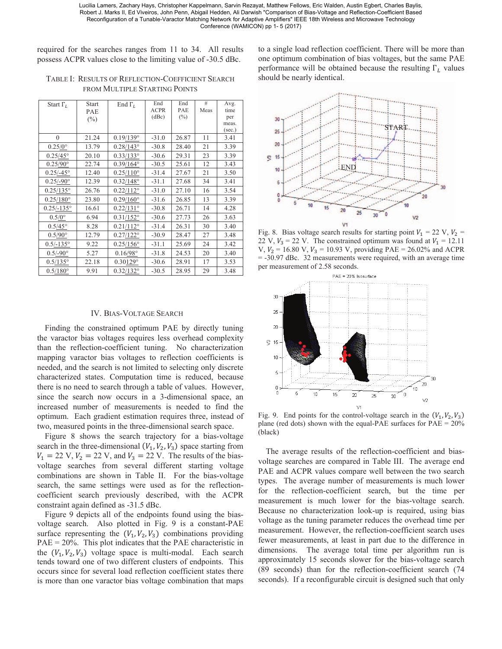required for the searches ranges from 11 to 34. All results possess ACPR values close to the limiting value of -30.5 dBc.

TABLE I: RESULTS OF REFLECTION-COEFFICIENT SEARCH FROM MULTIPLE STARTING POINTS

| Start $\Gamma_I$    | <b>Start</b> | End $\Gamma_I$     | End         | End    | #    | Avg.   |
|---------------------|--------------|--------------------|-------------|--------|------|--------|
|                     | PAE          |                    | <b>ACPR</b> | PAE    | Meas | time   |
|                     | $(\%)$       |                    | (dBc)       | $(\%)$ |      | per    |
|                     |              |                    |             |        |      | meas.  |
|                     |              |                    |             |        |      | (sec.) |
| $\theta$            | 21.24        | $0.19/139$ °       | $-31.0$     | 26.87  | 11   | 3.41   |
| $0.25/0^{\circ}$    | 13.79        | $0.28/143^{\circ}$ | $-30.8$     | 28.40  | 21   | 3.39   |
| $0.25/45^{\circ}$   | 20.10        | $0.33/133$ °       | $-30.6$     | 29.31  | 23   | 3.39   |
| $0.25/90^{\circ}$   | 22.74        | $0.39/164^{\circ}$ | $-30.5$     | 25.61  | 12   | 3.43   |
| $0.25/-45^{\circ}$  | 12.40        | $0.25/110^{\circ}$ | $-31.4$     | 27.67  | 21   | 3.50   |
| $0.25/-90^{\circ}$  | 12.39        | $0.32/148^{\circ}$ | $-31.1$     | 27.68  | 34   | 3.41   |
| $0.25/135^{\circ}$  | 26.76        | $0.22/112$ °       | $-31.0$     | 27.10  | 16   | 3.54   |
| $0.25/180^{\circ}$  | 23.80        | $0.29/160^{\circ}$ | $-31.6$     | 26.85  | 13   | 3.39   |
| $0.25/-135^{\circ}$ | 16.61        | $0.22/131^{\circ}$ | $-30.8$     | 26.71  | 14   | 4.28   |
| $0.5/0$ °           | 6.94         | $0.31/152$ °       | $-30.6$     | 27.73  | 26   | 3.63   |
| $0.5/45^{\circ}$    | 8.28         | $0.21/112^{\circ}$ | $-31.4$     | 26.31  | 30   | 3.40   |
| $0.5/90^{\circ}$    | 12.79        | $0.27/122$ °       | $-30.9$     | 28.47  | 27   | 3.48   |
| $0.5/-135^{\circ}$  | 9.22         | $0.25/156^{\circ}$ | $-31.1$     | 25.69  | 24   | 3.42   |
| $0.5/-90^{\circ}$   | 5.27         | $0.16/98^{\circ}$  | $-31.8$     | 24.53  | 20   | 3.40   |
| $0.5/135^{\circ}$   | 22.18        | $0.30129^{\circ}$  | $-30.6$     | 28.91  | 17   | 3.53   |
| $0.5/180^{\circ}$   | 9.91         | $0.32/132^{\circ}$ | $-30.5$     | 28.95  | 29   | 3.48   |

#### IV. BIAS-VOLTAGE SEARCH

Finding the constrained optimum PAE by directly tuning the varactor bias voltages requires less overhead complexity than the reflection-coefficient tuning. No characterization mapping varactor bias voltages to reflection coefficients is needed, and the search is not limited to selecting only discrete characterized states. Computation time is reduced, because there is no need to search through a table of values. However, since the search now occurs in a 3-dimensional space, an increased number of measurements is needed to find the optimum. Each gradient estimation requires three, instead of two, measured points in the three-dimensional search space.

Figure 8 shows the search trajectory for a bias-voltage search in the three-dimensional  $(V_1, V_2, V_3)$  space starting from  $V_1 = 22 \text{ V}, V_2 = 22 \text{ V}, \text{ and } V_3 = 22 \text{ V}.$  The results of the biasvoltage searches from several different starting voltage combinations are shown in Table II. For the bias-voltage search, the same settings were used as for the reflectioncoefficient search previously described, with the ACPR constraint again defined as -31.5 dBc.

Figure 9 depicts all of the endpoints found using the biasvoltage search. Also plotted in Fig. 9 is a constant-PAE surface representing the  $(V_1, V_2, V_3)$  combinations providing PAE = 20%. This plot indicates that the PAE characteristic in the  $(V_1, V_2, V_3)$  voltage space is multi-modal. Each search tends toward one of two different clusters of endpoints. This occurs since for several load reflection coefficient states there is more than one varactor bias voltage combination that maps to a single load reflection coefficient. There will be more than one optimum combination of bias voltages, but the same PAE performance will be obtained because the resulting  $\Gamma_L$  values should be nearly identical.



Fig. 8. Bias voltage search results for starting point  $V_1 = 22$  V,  $V_2 =$ 22 V,  $V_3 = 22$  V. The constrained optimum was found at  $V_1 = 12.11$ V,  $V_2$  = 16.80 V,  $V_3$  = 10.93 V, providing PAE = 26.02% and ACPR = -30.97 dBc. 32 measurements were required, with an average time per measurement of 2.58 seconds.



Fig. 9. End points for the control-voltage search in the  $(V_1, V_2, V_3)$ plane (red dots) shown with the equal-PAE surfaces for PAE = 20% (black)

The average results of the reflection-coefficient and biasvoltage searches are compared in Table III. The average end PAE and ACPR values compare well between the two search types. The average number of measurements is much lower for the reflection-coefficient search, but the time per measurement is much lower for the bias-voltage search. Because no characterization look-up is required, using bias voltage as the tuning parameter reduces the overhead time per measurement. However, the reflection-coefficient search uses fewer measurements, at least in part due to the difference in dimensions. The average total time per algorithm run is approximately 15 seconds slower for the bias-voltage search (89 seconds) than for the reflection-coefficient search (74 seconds). If a reconfigurable circuit is designed such that only